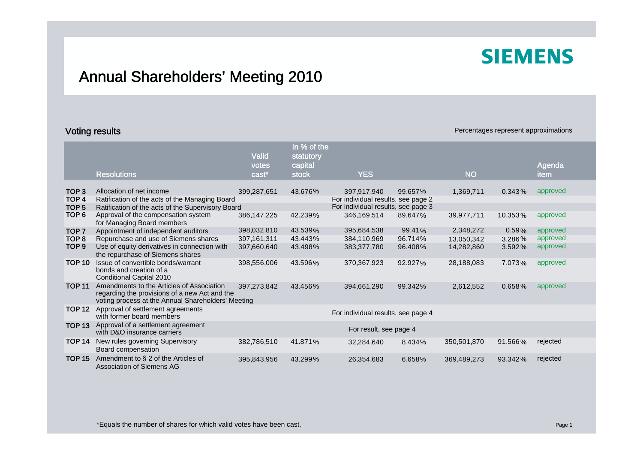## Annual Shareholders' Meeting 2010

### **Voting results Percentages represent approximations Percentages represent approximations**

|                                      | <b>Resolutions</b>                                                                                                                               | <b>Valid</b><br>votes<br>cast* | In % of the<br>statutory<br>capital<br><b>stock</b> | <b>YES</b>                                        |         | <b>NO</b>   |           | Agenda<br>item |
|--------------------------------------|--------------------------------------------------------------------------------------------------------------------------------------------------|--------------------------------|-----------------------------------------------------|---------------------------------------------------|---------|-------------|-----------|----------------|
|                                      |                                                                                                                                                  |                                |                                                     |                                                   |         |             |           |                |
| TOP <sub>3</sub><br>TOP <sub>4</sub> | Allocation of net income<br>Ratification of the acts of the Managing Board                                                                       | 399,287,651                    | 43.676%                                             | 397,917,940<br>For individual results, see page 2 | 99.657% | 1,369,711   | $0.343\%$ | approved       |
| TOP <sub>5</sub>                     | Ratification of the acts of the Supervisory Board                                                                                                |                                |                                                     | For individual results, see page 3                |         |             |           |                |
| TOP <sub>6</sub>                     | Approval of the compensation system<br>for Managing Board members                                                                                | 386, 147, 225                  | 42.239%                                             | 346,169,514                                       | 89.647% | 39,977,711  | 10.353%   | approved       |
| TOP <sub>7</sub>                     | Appointment of independent auditors                                                                                                              | 398,032,810                    | 43.539%                                             | 395,684,538                                       | 99.41%  | 2,348,272   | $0.59\%$  | approved       |
| TOP <sub>8</sub>                     | Repurchase and use of Siemens shares                                                                                                             | 397, 161, 311                  | 43.443%                                             | 384,110,969                                       | 96.714% | 13,050,342  | $3.286\%$ | approved       |
| TOP 9                                | Use of equity derivatives in connection with<br>the repurchase of Siemens shares                                                                 | 397,660,640                    | 43.498%                                             | 383,377,780                                       | 96.408% | 14,282,860  | $3.592\%$ | approved       |
| <b>TOP 10</b>                        | Issue of convertible bonds/warrant<br>bonds and creation of a<br>Conditional Capital 2010                                                        | 398,556,006                    | 43.596%                                             | 370,367,923                                       | 92.927% | 28,188,083  | 7.073%    | approved       |
| <b>TOP 11</b>                        | Amendments to the Articles of Association<br>regarding the provisions of a new Act and the<br>voting process at the Annual Shareholders' Meeting | 397,273,842                    | 43.456%                                             | 394,661,290                                       | 99.342% | 2,612,552   | 0.658%    | approved       |
| <b>TOP 12</b>                        | Approval of settlement agreements<br>with former board members                                                                                   |                                |                                                     | For individual results, see page 4                |         |             |           |                |
| <b>TOP 13</b>                        | Approval of a settlement agreement<br>with D&O insurance carriers                                                                                |                                |                                                     | For result, see page 4                            |         |             |           |                |
| <b>TOP 14</b>                        | New rules governing Supervisory<br>Board compensation                                                                                            | 382,786,510                    | 41.871%                                             | 32,284,640                                        | 8.434%  | 350,501,870 | 91.566%   | rejected       |
| <b>TOP 15</b>                        | Amendment to $\S$ 2 of the Articles of<br><b>Association of Siemens AG</b>                                                                       | 395,843,956                    | 43.299%                                             | 26,354,683                                        | 6.658%  | 369,489,273 | 93.342%   | rejected       |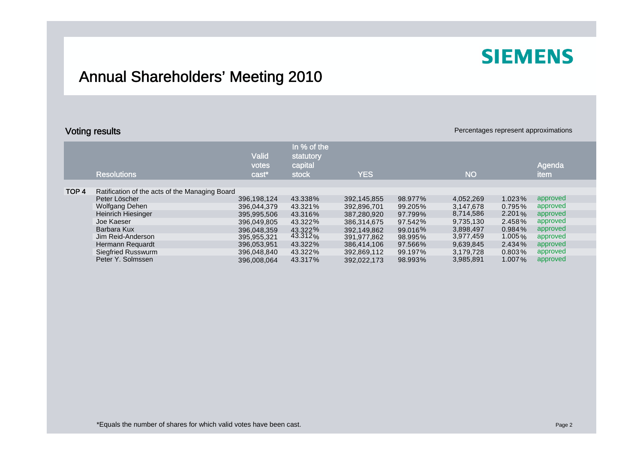## Annual Shareholders' Meeting 2010

### **Voting results Percentages represent approximations Percentages represent approximations**

|                  | <b>Resolutions</b>                             | <b>Valid</b><br>votes<br>cast* | In % of the<br>statutory<br>capital<br><b>stock</b> | <b>YES</b>  |         | <b>NO</b> |           | Agenda<br><b>item</b> |
|------------------|------------------------------------------------|--------------------------------|-----------------------------------------------------|-------------|---------|-----------|-----------|-----------------------|
|                  |                                                |                                |                                                     |             |         |           |           |                       |
| TOP <sub>4</sub> | Ratification of the acts of the Managing Board |                                |                                                     |             |         |           |           |                       |
|                  | Peter Löscher                                  | 396.198.124                    | 43.338%                                             | 392.145.855 | 98.977% | 4.052.269 | 1.023%    | approved              |
|                  | Wolfgang Dehen                                 | 396,044,379                    | 43.321%                                             | 392,896,701 | 99.205% | 3.147.678 | 0.795%    | approved              |
|                  | Heinrich Hiesinger                             | 395.995.506                    | 43.316%                                             | 387.280.920 | 97.799% | 8,714,586 | 2.201%    | approved              |
|                  | Joe Kaeser                                     | 396.049.805                    | 43.322%                                             | 386,314,675 | 97.542% | 9,735,130 | 2.458%    | approved              |
|                  | Barbara Kux                                    | 396.048.359                    | 43.322%                                             | 392.149.862 | 99.016% | 3,898,497 | 0.984%    | approved              |
|                  | Jim Reid-Anderson                              | 395,955,321                    | $43.312\%$                                          | 391,977,862 | 98.995% | 3,977,459 | 1.005 $%$ | approved              |
|                  | Hermann Requardt                               | 396,053,951                    | 43.322%                                             | 386,414,106 | 97.566% | 9,639,845 | 2.434%    | approved              |
|                  | Siegfried Russwurm                             | 396,048,840                    | 43.322%                                             | 392,869,112 | 99.197% | 3,179,728 | $0.803\%$ | approved              |
|                  | Peter Y. Solmssen                              | 396.008.064                    | 43.317%                                             | 392.022.173 | 98.993% | 3,985,891 | 1.007%    | approved              |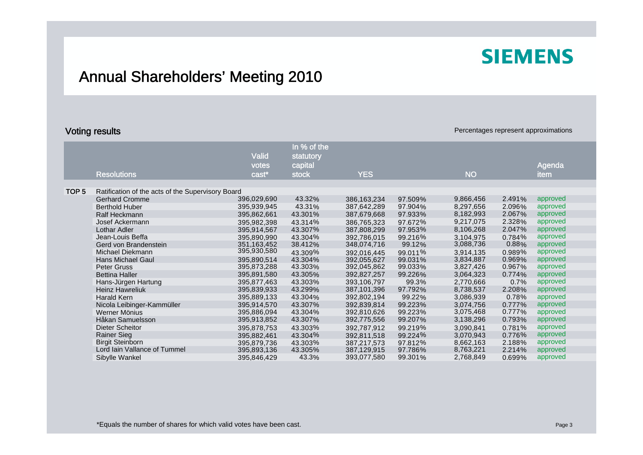## Annual Shareholders' Meeting 2010

### **Voting results Percentages represent approximations Percentages represent approximations**

|                          | <b>Valid</b>                                                                         | statutory                                                                                      |                    |         |                               |                                                  |          |
|--------------------------|--------------------------------------------------------------------------------------|------------------------------------------------------------------------------------------------|--------------------|---------|-------------------------------|--------------------------------------------------|----------|
|                          | votes                                                                                | capital                                                                                        |                    |         |                               |                                                  | Agenda   |
| <b>Resolutions</b>       | cast*                                                                                | stock                                                                                          | <b>YES</b>         |         | <b>NO</b>                     |                                                  | item     |
|                          |                                                                                      |                                                                                                |                    |         |                               |                                                  |          |
|                          |                                                                                      |                                                                                                |                    |         |                               |                                                  |          |
| <b>Gerhard Cromme</b>    | 396,029,690                                                                          | 43.32%                                                                                         | 386,163,234        | 97.509% | 9,866,456                     | $2.491\%$                                        | approved |
| <b>Berthold Huber</b>    | 395,939,945                                                                          | 43.31%                                                                                         | 387,642,289        | 97.904% | 8,297,656                     | 2.096%                                           | approved |
| Ralf Heckmann            | 395,862,661                                                                          | 43.301%                                                                                        | 387,679,668        | 97.933% | 8,182,993                     | 2.067%                                           | approved |
| Josef Ackermann          | 395,982,398                                                                          | 43.314%                                                                                        | 386,765,323        | 97.672% | 9,217,075                     | 2.328%                                           | approved |
| Lothar Adler             | 395,914,567                                                                          | 43.307%                                                                                        | 387,808,299        | 97.953% | 8,106,268                     | 2.047%                                           | approved |
| Jean-Louis Beffa         | 395,890,990                                                                          | 43.304%                                                                                        | 392,786,015        | 99.216% | 3,104,975                     | 0.784%                                           | approved |
| Gerd von Brandenstein    | 351,163,452                                                                          | 38.412%                                                                                        | 348,074,716        | 99.12%  |                               | 0.88%                                            | approved |
| Michael Diekmann         |                                                                                      | 43.309%                                                                                        | 392,016,445        | 99.011% | 3,914,135                     | 0.989%                                           | approved |
| <b>Hans Michael Gaul</b> | 395,890,514                                                                          | 43.304%                                                                                        | 392,055,627        | 99.031% | 3,834,887                     | 0.969%                                           | approved |
| Peter Gruss              |                                                                                      | 43.303%                                                                                        | 392,045,862        |         |                               |                                                  | approved |
| <b>Bettina Haller</b>    | 395,891,580                                                                          |                                                                                                | 392,827,257        |         |                               | 0.774%                                           | approved |
| Hans-Jürgen Hartung      | 395,877,463                                                                          | 43.303%                                                                                        | 393,106,797        | 99.3%   | 2,770,666                     | 0.7%                                             | approved |
|                          |                                                                                      |                                                                                                | 387,101,396        |         |                               | 2.208%                                           | approved |
| Harald Kern              | 395,889,133                                                                          | 43.304%                                                                                        | 392,802,194        | 99.22%  | 3,086,939                     | 0.78%                                            | approved |
|                          | 395,914,570                                                                          | 43.307%                                                                                        | 392,839,814        | 99.223% | 3,074,756                     | 0.777%                                           | approved |
| Werner Mönius            | 395,886,094                                                                          | 43.304%                                                                                        | 392,810,626        | 99.223% | 3,075,468                     | 0.777%                                           | approved |
| Håkan Samuelsson         | 395,913,852                                                                          | 43.307%                                                                                        | 392,775,556        | 99.207% | 3,138,296                     | 0.793%                                           | approved |
| <b>Dieter Scheitor</b>   | 395,878,753                                                                          | 43.303%                                                                                        | 392,787,912        | 99.219% | 3,090,841                     | 0.781%                                           | approved |
| <b>Rainer Sieg</b>       | 395,882,461                                                                          | 43.304%                                                                                        | 392,811,518        | 99.224% | 3,070,943                     | 0.776%                                           | approved |
| <b>Birgit Steinborn</b>  | 395,879,736                                                                          | 43.303%                                                                                        | 387,217,573        | 97.812% | 8,662,163                     | 2.188%                                           | approved |
|                          | 395,893,136                                                                          | 43.305%                                                                                        | 387,129,915        | 97.786% | 8,763,221                     | 2.214%                                           | approved |
| Sibylle Wankel           | 395,846,429                                                                          | 43.3%                                                                                          | 393,077,580        | 99.301% | 2,768,849                     | 0.699%                                           | approved |
|                          | <b>Heinz Hawreliuk</b><br>Nicola Leibinger-Kammüller<br>Lord Iain Vallance of Tummel | Ratification of the acts of the Supervisory Board<br>395,930,580<br>395,873,288<br>395,839,933 | 43.305%<br>43.299% |         | 99.033%<br>99.226%<br>97.792% | 3,088,736<br>3,827,426<br>3,064,323<br>8,738,537 | 0.967%   |